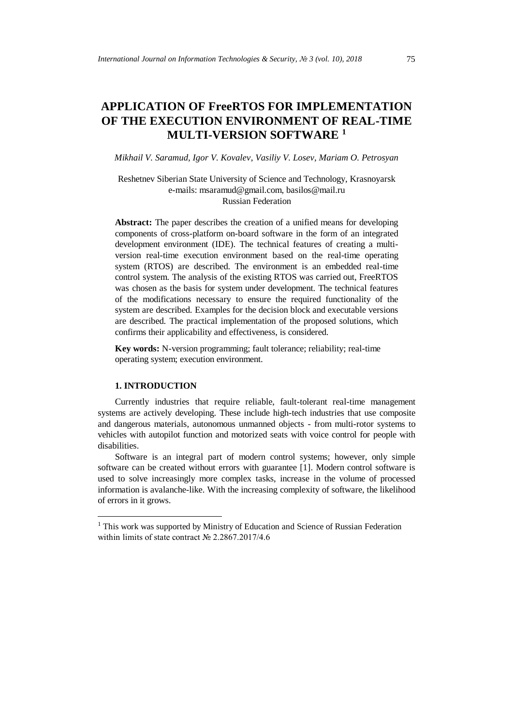# **APPLICATION OF FreeRTOS FOR IMPLEMENTATION OF THE EXECUTION ENVIRONMENT OF REAL-TIME MULTI-VERSION SOFTWARE <sup>1</sup>**

*Mikhail V. Saramud, Igor V. Kovalev, Vasiliy V. Losev, Mariam O. Petrosyan*

# Reshetnev Siberian State University of Science and Technology, Krasnoyarsk e-mails: [msaramud@gmail.com,](mailto:msaramud@gmail.com) basilos@mail.ru Russian Federation

Abstract: The paper describes the creation of a unified means for developing components of cross-platform on-board software in the form of an integrated development environment (IDE). The technical features of creating a multiversion real-time execution environment based on the real-time operating system (RTOS) are described. The environment is an embedded real-time control system. The analysis of the existing RTOS was carried out, FreeRTOS was chosen as the basis for system under development. The technical features of the modifications necessary to ensure the required functionality of the system are described. Examples for the decision block and executable versions are described. The practical implementation of the proposed solutions, which confirms their applicability and effectiveness, is considered.

**Key words:** N-version programming; fault tolerance; reliability; real-time operating system; execution environment.

#### **1. INTRODUCTION**

-

Currently industries that require reliable, fault-tolerant real-time management systems are actively developing. These include high-tech industries that use composite and dangerous materials, autonomous unmanned objects - from multi-rotor systems to vehicles with autopilot function and motorized seats with voice control for people with disabilities.

Software is an integral part of modern control systems; however, only simple software can be created without errors with guarantee [1]. Modern control software is used to solve increasingly more complex tasks, increase in the volume of processed information is avalanche-like. With the increasing complexity of software, the likelihood of errors in it grows.

<sup>&</sup>lt;sup>1</sup> This work was supported by Ministry of Education and Science of Russian Federation within limits of state contract № 2.2867.2017/4.6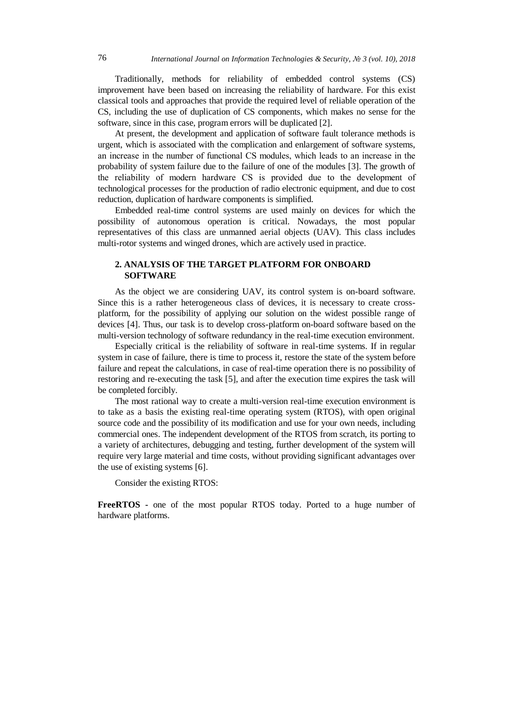Traditionally, methods for reliability of embedded control systems (CS) improvement have been based on increasing the reliability of hardware. For this exist classical tools and approaches that provide the required level of reliable operation of the CS, including the use of duplication of CS components, which makes no sense for the software, since in this case, program errors will be duplicated [2].

At present, the development and application of software fault tolerance methods is urgent, which is associated with the complication and enlargement of software systems, an increase in the number of functional СS modules, which leads to an increase in the probability of system failure due to the failure of one of the modules [3]. The growth of the reliability of modern hardware СS is provided due to the development of technological processes for the production of radio electronic equipment, and due to cost reduction, duplication of hardware components is simplified.

Embedded real-time control systems are used mainly on devices for which the possibility of autonomous operation is critical. Nowadays, the most popular representatives of this class are unmanned aerial objects (UAV). This class includes multi-rotor systems and winged drones, which are actively used in practice.

# **2. ANALYSIS OF THE TARGET PLATFORM FOR ONBOARD SOFTWARE**

As the object we are considering UAV, its control system is on-board software. Since this is a rather heterogeneous class of devices, it is necessary to create crossplatform, for the possibility of applying our solution on the widest possible range of devices [4]. Thus, our task is to develop cross-platform on-board software based on the multi-version technology of software redundancy in the real-time execution environment.

Especially critical is the reliability of software in real-time systems. If in regular system in case of failure, there is time to process it, restore the state of the system before failure and repeat the calculations, in case of real-time operation there is no possibility of restoring and re-executing the task [5], and after the execution time expires the task will be completed forcibly.

The most rational way to create a multi-version real-time execution environment is to take as a basis the existing real-time operating system (RTOS), with open original source code and the possibility of its modification and use for your own needs, including commercial ones. The independent development of the RTOS from scratch, its porting to a variety of architectures, debugging and testing, further development of the system will require very large material and time costs, without providing significant advantages over the use of existing systems [6].

Consider the existing RTOS:

**FreeRTOS -** one of the most popular RTOS today. Ported to a huge number of hardware platforms.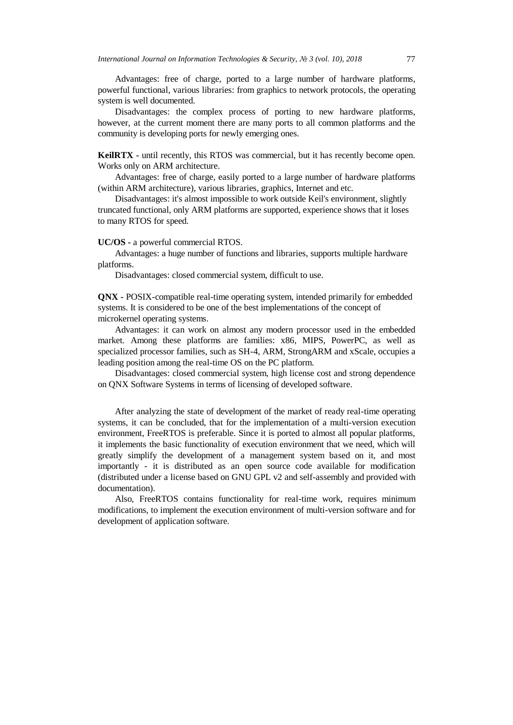Advantages: free of charge, ported to a large number of hardware platforms, powerful functional, various libraries: from graphics to network protocols, the operating system is well documented.

Disadvantages: the complex process of porting to new hardware platforms, however, at the current moment there are many ports to all common platforms and the community is developing ports for newly emerging ones.

**KeilRTX -** until recently, this RTOS was commercial, but it has recently become open. Works only on ARM architecture.

Advantages: free of charge, easily ported to a large number of hardware platforms (within ARM architecture), various libraries, graphics, Internet and etc.

Disadvantages: it's almost impossible to work outside Keil's environment, slightly truncated functional, only ARM platforms are supported, experience shows that it loses to many RTOS for speed.

## **UC/OS -** a powerful commercial RTOS.

Advantages: a huge number of functions and libraries, supports multiple hardware platforms.

Disadvantages: closed commercial system, difficult to use.

**QNX -** POSIX-compatible real-time operating system, intended primarily for embedded systems. It is considered to be one of the best implementations of the concept of microkernel operating systems.

Advantages: it can work on almost any modern processor used in the embedded market. Among these platforms are families: x86, MIPS, PowerPC, as well as specialized processor families, such as SH-4, ARM, StrongARM and xScale, occupies a leading position among the real-time OS on the PC platform.

Disadvantages: closed commercial system, high license cost and strong dependence on QNX Software Systems in terms of licensing of developed software.

After analyzing the state of development of the market of ready real-time operating systems, it can be concluded, that for the implementation of a multi-version execution environment, FreeRTOS is preferable. Since it is ported to almost all popular platforms, it implements the basic functionality of execution environment that we need, which will greatly simplify the development of a management system based on it, and most importantly - it is distributed as an open source code available for modification (distributed under a license based on GNU GPL v2 and self-assembly and provided with documentation).

Also, FreeRTOS contains functionality for real-time work, requires minimum modifications, to implement the execution environment of multi-version software and for development of application software.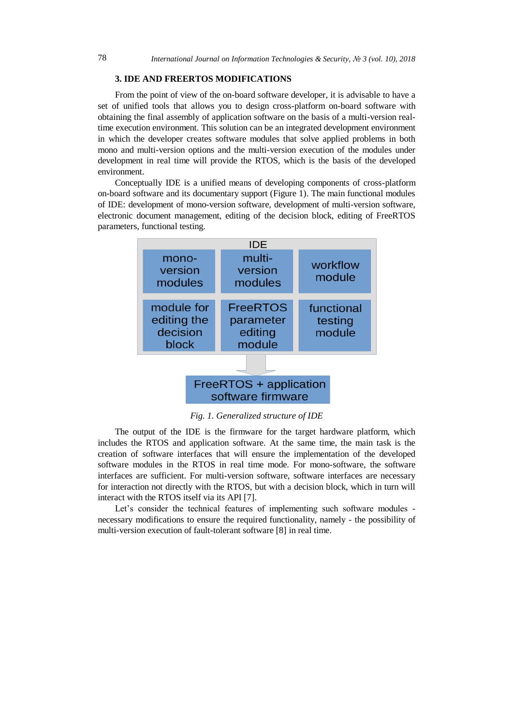## **3. IDE AND FREERTOS MODIFICATIONS**

From the point of view of the on-board software developer, it is advisable to have a set of unified tools that allows you to design cross-platform on-board software with obtaining the final assembly of application software on the basis of a multi-version realtime execution environment. This solution can be an integrated development environment in which the developer creates software modules that solve applied problems in both mono and multi-version options and the multi-version execution of the modules under development in real time will provide the RTOS, which is the basis of the developed environment.

Conceptually IDE is a unified means of developing components of cross-platform on-board software and its documentary support (Figure 1). The main functional modules of IDE: development of mono-version software, development of multi-version software, electronic document management, editing of the decision block, editing of FreeRTOS parameters, functional testing.



software firmware

*Fig. 1. Generalized structure of IDE*

The output of the IDE is the firmware for the target hardware platform, which includes the RTOS and application software. At the same time, the main task is the creation of software interfaces that will ensure the implementation of the developed software modules in the RTOS in real time mode. For mono-software, the software interfaces are sufficient. For multi-version software, software interfaces are necessary for interaction not directly with the RTOS, but with a decision block, which in turn will interact with the RTOS itself via its API [7].

Let's consider the technical features of implementing such software modules necessary modifications to ensure the required functionality, namely - the possibility of multi-version execution of fault-tolerant software [8] in real time.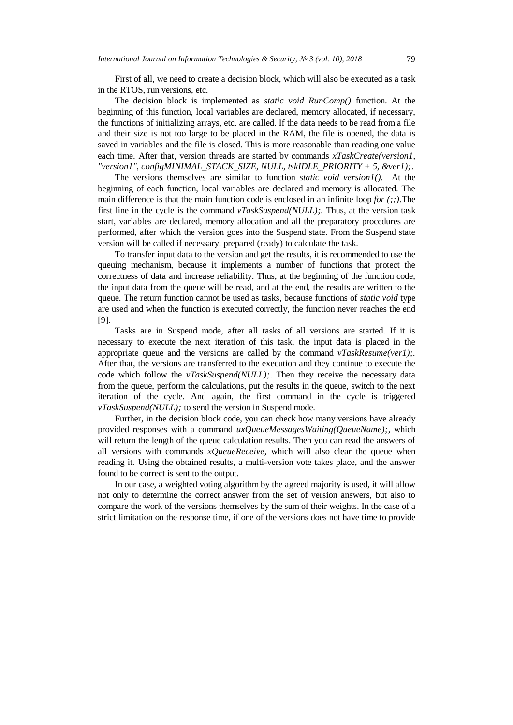First of all, we need to create a decision block, which will also be executed as a task in the RTOS, run versions, etc.

The decision block is implemented as *static void RunComp()* function. At the beginning of this function, local variables are declared, memory allocated, if necessary, the functions of initializing arrays, etc. are called. If the data needs to be read from a file and their size is not too large to be placed in the RAM, the file is opened, the data is saved in variables and the file is closed. This is more reasonable than reading one value each time. After that, version threads are started by commands *xTaskCreate(version1, "version1", configMINIMAL\_STACK\_SIZE, NULL, tskIDLE\_PRIORITY + 5, &ver1);*.

The versions themselves are similar to function *static void version1().* At the beginning of each function, local variables are declared and memory is allocated. The main difference is that the main function code is enclosed in an infinite loop *for*  $($ ; $)$ . The first line in the cycle is the command *vTaskSuspend(NULL);.* Thus, at the version task start, variables are declared, memory allocation and all the preparatory procedures are performed, after which the version goes into the Suspend state. From the Suspend state version will be called if necessary, prepared (ready) to calculate the task.

To transfer input data to the version and get the results, it is recommended to use the queuing mechanism, because it implements a number of functions that protect the correctness of data and increase reliability. Thus, at the beginning of the function code, the input data from the queue will be read, and at the end, the results are written to the queue. The return function cannot be used as tasks, because functions of *static void* type are used and when the function is executed correctly, the function never reaches the end [9].

Tasks are in Suspend mode, after all tasks of all versions are started. If it is necessary to execute the next iteration of this task, the input data is placed in the appropriate queue and the versions are called by the command *vTaskResume(ver1);.* After that, the versions are transferred to the execution and they continue to execute the code which follow the *vTaskSuspend(NULL);*. Then they receive the necessary data from the queue, perform the calculations, put the results in the queue, switch to the next iteration of the cycle. And again, the first command in the cycle is triggered *vTaskSuspend(NULL);* to send the version in Suspend mode.

Further, in the decision block code, you can check how many versions have already provided responses with a command *uxQueueMessagesWaiting(QueueName);*, which will return the length of the queue calculation results. Then you can read the answers of all versions with commands *xQueueReceive,* which will also clear the queue when reading it*.* Using the obtained results, a multi-version vote takes place, and the answer found to be correct is sent to the output.

In our case, a weighted voting algorithm by the agreed majority is used, it will allow not only to determine the correct answer from the set of version answers, but also to compare the work of the versions themselves by the sum of their weights. In the case of a strict limitation on the response time, if one of the versions does not have time to provide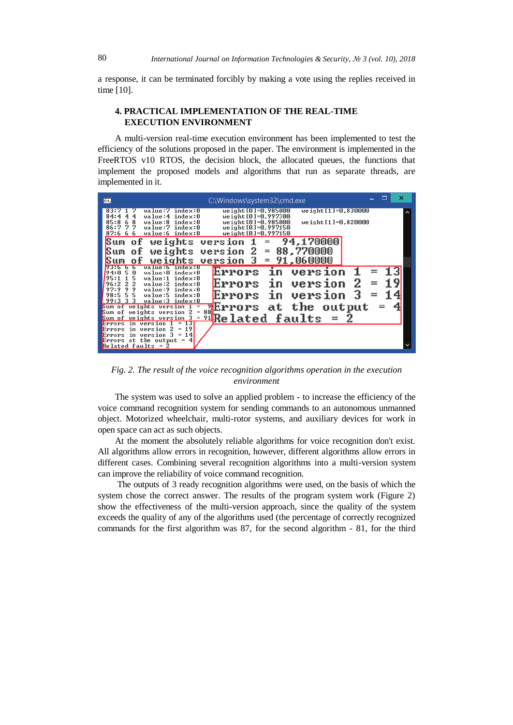a response, it can be terminated forcibly by making a vote using the replies received in time [10].

# **4. PRACTICAL IMPLEMENTATION OF THE REAL-TIME EXECUTION ENVIRONMENT**

A multi-version real-time execution environment has been implemented to test the efficiency of the solutions proposed in the paper. The environment is implemented in the FreeRTOS v10 RTOS, the decision block, the allocated queues, the functions that implement the proposed models and algorithms that run as separate threads, are implemented in it.

| $\overline{0}$<br>C:\Windows\system32\cmd.exe                                                                                                                                                                    |                            | п | × |
|------------------------------------------------------------------------------------------------------------------------------------------------------------------------------------------------------------------|----------------------------|---|---|
| value:7 index:0<br>83:7<br>$we$ ight $[0] = 0$ , $985000$<br>weight[0]=0.997300<br>4<br>value:4 index:0<br>84:4<br>4<br>$weight[0]-0.985000$<br>$we ight [11 = 0.820000$<br>85:8<br>value:8<br>index:0<br>6<br>8 | $we$ ight $[1] = 0.830000$ |   |   |
| 77<br>weight [0]=0.997150<br>value:7 index:0<br>86:7<br>87:666<br>weight [0]=0,997150<br>value:6 index:0                                                                                                         |                            |   |   |
| Sum<br>weights<br>94,170000<br>version<br>оf<br>2<br>88,770000<br>$=$<br>weights version<br>Sum<br>οf                                                                                                            |                            |   |   |
| $version$ 3 = $91,060000$<br>weights<br>о£<br>value:6 index:U                                                                                                                                                    |                            |   |   |
| Errors in<br>version<br>value:0 index:0<br>皿<br>194:N<br>5<br>value:1<br>index:0<br>Errors<br>version<br>2                                                                                                       | 2                          |   |   |
| in<br>96:2<br>-2.<br>value:2<br>index:0<br>- 9<br>97:9<br>- 9<br>index:0<br>value:9<br>Errors in<br>version<br>55<br>98:5<br>value:5 index:0<br>99:333<br>value:3 index:0                                        |                            |   |   |
| <b>Let</b> express at the output<br>Sum of weights version $1 =$<br>88<br>weights version 2<br>Sum of<br>$=$                                                                                                     |                            |   |   |
| $\blacksquare$ Related faults = 2<br>Sum of weights version 3<br>Errors in version 1<br>13<br>$=$<br>19<br>in version<br><b>Errors</b><br>2<br>$=$                                                               |                            |   |   |
| in version 3<br>14<br>$=$<br><b>Errors</b><br>Errors at the output $=$<br>Related faults = $\bar{2}$                                                                                                             |                            |   |   |

*Fig. 2. The result of the voice recognition algorithms operation in the execution environment*

The system was used to solve an applied problem - to increase the efficiency of the voice command recognition system for sending commands to an autonomous unmanned object. Motorized wheelchair, multi-rotor systems, and auxiliary devices for work in open space can act as such objects.

At the moment the absolutely reliable algorithms for voice recognition don't exist. All algorithms allow errors in recognition, however, different algorithms allow errors in different cases. Combining several recognition algorithms into a multi-version system can improve the reliability of voice command recognition.

The outputs of 3 ready recognition algorithms were used, on the basis of which the system chose the correct answer. The results of the program system work (Figure 2) show the effectiveness of the multi-version approach, since the quality of the system exceeds the quality of any of the algorithms used (the percentage of correctly recognized commands for the first algorithm was 87, for the second algorithm - 81, for the third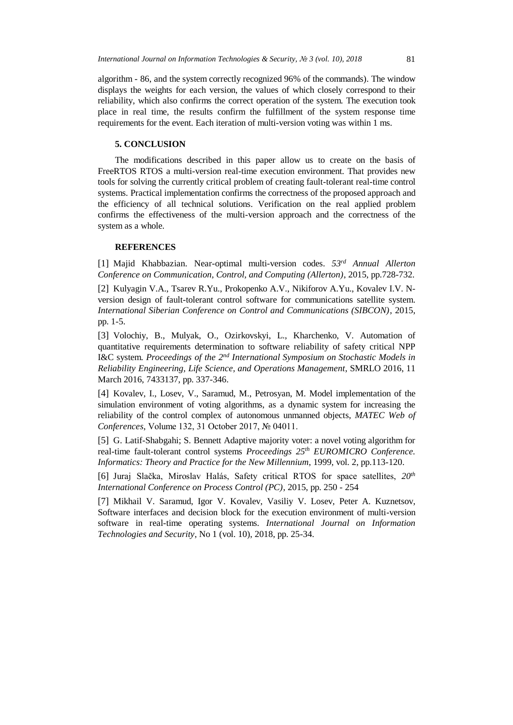algorithm - 86, and the system correctly recognized 96% of the commands). The window displays the weights for each version, the values of which closely correspond to their reliability, which also confirms the correct operation of the system. The execution took place in real time, the results confirm the fulfillment of the system response time requirements for the event. Each iteration of multi-version voting was within 1 ms.

### **5. CONCLUSION**

The modifications described in this paper allow us to create on the basis of FreeRTOS RTOS a multi-version real-time execution environment. That provides new tools for solving the currently critical problem of creating fault-tolerant real-time control systems. Practical implementation confirms the correctness of the proposed approach and the efficiency of all technical solutions. Verification on the real applied problem confirms the effectiveness of the multi-version approach and the correctness of the system as a whole.

#### **REFERENCES**

[1] Majid Khabbazian. Near-optimal multi-version codes. *53rd Annual Allerton Conference on Communication, Control, and Computing (Allerton)*, 2015, pp.728-732.

[2] Kulyagin V.A., Tsarev R.Yu., Prokopenko A.V., Nikiforov A.Yu., Kovalev I.V. Nversion design of fault-tolerant control software for communications satellite system. *International Siberian Conference on Control and Communications (SIBCON)*, 2015, pp. 1-5.

[3] Volochiy, B., Mulyak, O., Ozirkovskyi, L., Kharchenko, V. Automation of quantitative requirements determination to software reliability of safety critical NPP I&C system. *Proceedings of the 2<sup>nd</sup> International Symposium on Stochastic Models in Reliability Engineering, Life Science, and Operations Management*, SMRLO 2016, 11 March 2016, 7433137, pp. 337-346.

[4] Kovalev, I., Losev, V., Saramud, M., Petrosyan, M. Model implementation of the simulation environment of voting algorithms, as a dynamic system for increasing the reliability of the control complex of autonomous unmanned objects, *MATEC Web of Conferences*, Volume 132, 31 October 2017, № 04011.

[5] G. Latif-Shabgahi; S. Bennett Adaptive majority voter: a novel voting algorithm for real-time fault-tolerant control systems *Proceedings 25th EUROMICRO Conference. Informatics: Theory and Practice for the New Millennium*, 1999, vol. 2, pp.113-120.

[6] Juraj Slačka, Miroslav Halás, Safety critical RTOS for space satellites, *20th International Conference on Process Control (PC)*, 2015, pp. 250 - 254

[7] Mikhail V. Saramud, Igor V. Kovalev, Vasiliy V. Losev, Peter A. Kuznetsov, Software interfaces and decision block for the execution environment of multi-version software in real-time operating systems. *International Journal on Information Technologies and Security*, No 1 (vol. 10), 2018, pp. 25-34.